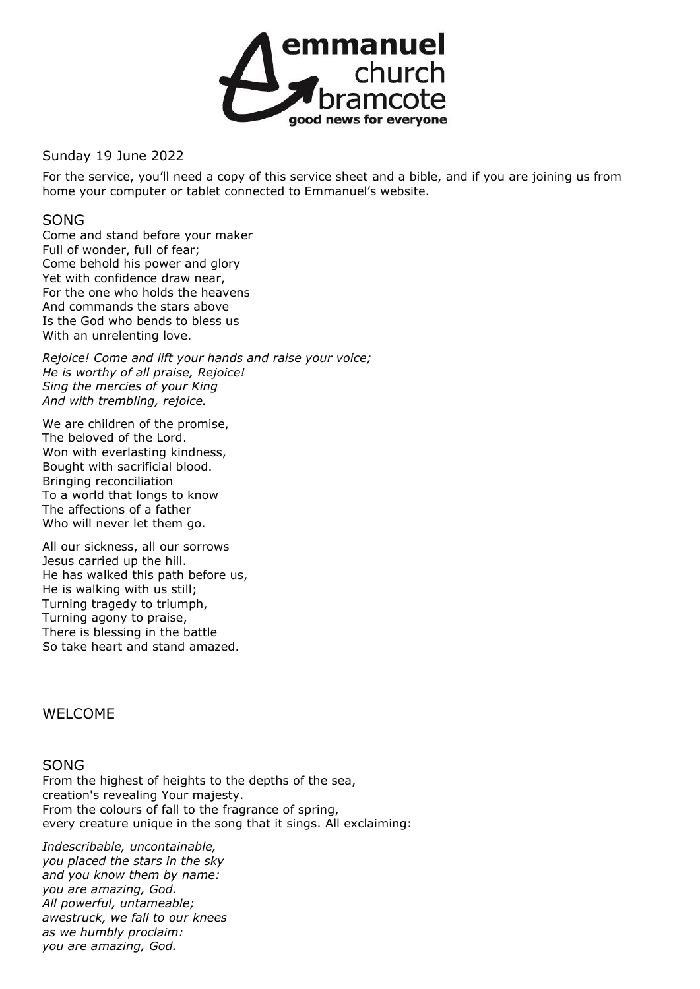

Sunday 19 June 2022

For the service, you'll need a copy of this service sheet and a bible, and if you are joining us from home your computer or tablet connected to Emmanuel's website.

# SONG

Come and stand before your maker Full of wonder, full of fear; Come behold his power and glory Yet with confidence draw near, For the one who holds the heavens And commands the stars above Is the God who bends to bless us With an unrelenting love.

*Rejoice! Come and lift your hands and raise your voice; He is worthy of all praise, Rejoice! Sing the mercies of your King And with trembling, rejoice.*

We are children of the promise, The beloved of the Lord. Won with everlasting kindness, Bought with sacrificial blood. Bringing reconciliation To a world that longs to know The affections of a father Who will never let them go.

All our sickness, all our sorrows Jesus carried up the hill. He has walked this path before us, He is walking with us still; Turning tragedy to triumph, Turning agony to praise, There is blessing in the battle So take heart and stand amazed.

# WELCOME

### SONG

From the highest of heights to the depths of the sea, creation's revealing Your majesty. From the colours of fall to the fragrance of spring, every creature unique in the song that it sings. All exclaiming:

*Indescribable, uncontainable, you placed the stars in the sky and you know them by name: you are amazing, God. All powerful, untameable; awestruck, we fall to our knees as we humbly proclaim: you are amazing, God.*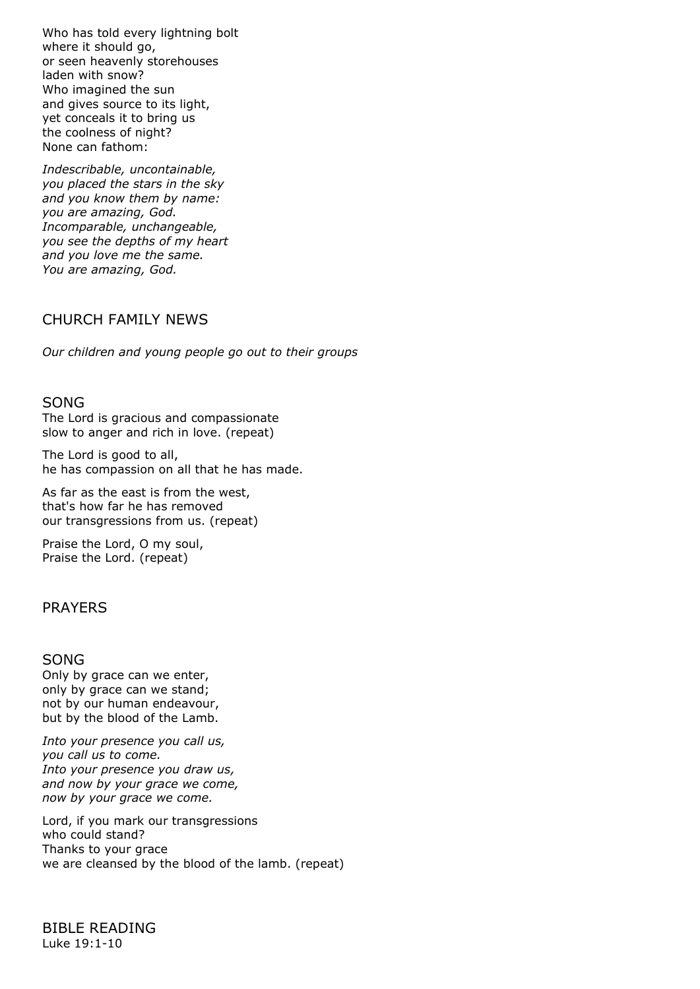Who has told every lightning bolt where it should go, or seen heavenly storehouses laden with snow? Who imagined the sun and gives source to its light, yet conceals it to bring us the coolness of night? None can fathom:

*Indescribable, uncontainable, you placed the stars in the sky and you know them by name: you are amazing, God. Incomparable, unchangeable, you see the depths of my heart and you love me the same. You are amazing, God.*

# CHURCH FAMILY NEWS

*Our children and young people go out to their groups*

#### SONG

The Lord is gracious and compassionate slow to anger and rich in love. (repeat)

The Lord is good to all, he has compassion on all that he has made.

As far as the east is from the west, that's how far he has removed our transgressions from us. (repeat)

Praise the Lord, O my soul, Praise the Lord. (repeat)

#### PRAYERS

#### SONG

Only by grace can we enter, only by grace can we stand; not by our human endeavour, but by the blood of the Lamb.

*Into your presence you call us, you call us to come. Into your presence you draw us, and now by your grace we come, now by your grace we come.*

Lord, if you mark our transgressions who could stand? Thanks to your grace we are cleansed by the blood of the lamb. (repeat)

BIBLE READING Luke 19:1-10